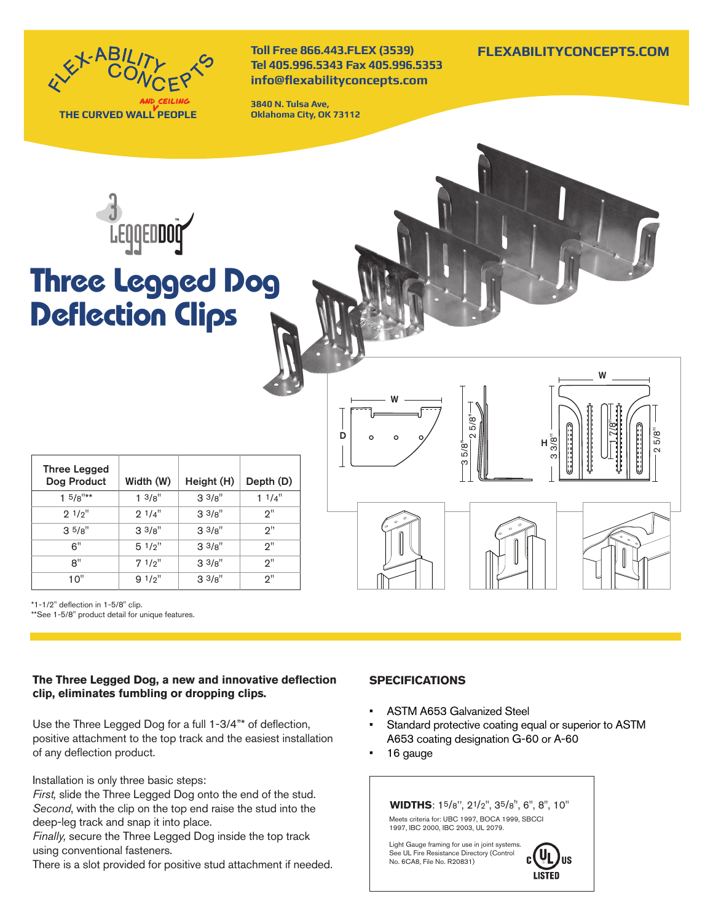

**Toll Free 866.443.FLEX (3539) Tel 405.996.5343 Fax 405.996.5353 info@flexabilityconcepts.com**

**3840 N. Tulsa Ave, Oklahoma City, OK 73112**



# **Three Legged Dog Deflection Clips**

| <b>Three Legged</b><br>Dog Product | Width (W)         | Height (H)        | Depth (D) |
|------------------------------------|-------------------|-------------------|-----------|
| $1.5/8$ <sup>"**</sup>             | $1 \frac{3}{8}$ " | $3^{3}/8"$        | 11/4"     |
| 91/2"                              | 91/4"             | $3 \frac{3}{8}$ " | ?"        |
| 3.5/g''                            | $3^{3}/8"$        | $3 \frac{3}{8}$ " | ייפ       |
| 6"                                 | 51/p''            | $3^{3}/8$ "       | יפ        |
| 8"                                 | 71/2"             | $3^{3}/8"$        | ?"        |
| 10"                                | 91/2"             | 33/s''            | っ"        |

\*1-1/2" deflection in 1-5/8" clip. \*\*See 1-5/8" product detail for unique features.

### **The Three Legged Dog, a new and innovative deflection clip, eliminates fumbling or dropping clips.**

Use the Three Legged Dog for a full 1-3/4"\* of deflection, positive attachment to the top track and the easiest installation of any deflection product.

Installation is only three basic steps:

*First,* slide the Three Legged Dog onto the end of the stud. *Second*, with the clip on the top end raise the stud into the deep-leg track and snap it into place.

*Finally,* secure the Three Legged Dog inside the top track using conventional fasteners.

There is a slot provided for positive stud attachment if needed.

## **SPECIFICATIONS**

• ASTM A653 Galvanized Steel

3 5/8''

2 5/8''

- Standard protective coating equal or superior to ASTM A653 coating designation G-60 or A-60
- 16 gauge

W

D

Meets criteria for: UBC 1997, BOCA 1999, SBCCI **WIDTHS**: 15/8'', 21/2'', 35/8'', 6'', 8'', 10''

Light Gauge framing for use in joint systems. See UL Fire Resistance Directory (Control No. 6CA8, File No. R20831)

1997, IBC 2000, IBC 2003, UL 2079.



3 3/8''

H

1 7/8''

W

2 5/8''